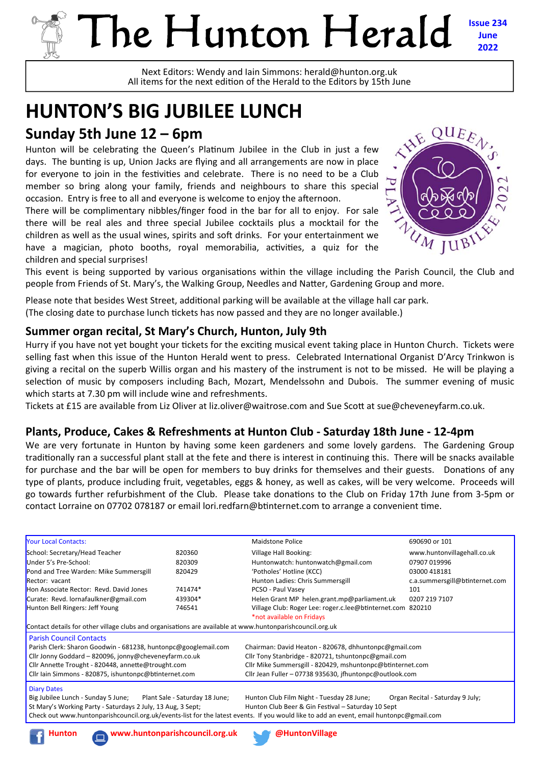# The Hunton Herald **Issue 234**

Next Editors: Wendy and Iain Simmons: herald@hunton.org.uk All items for the next edition of the Herald to the Editors by 15th June

# **HUNTON'S BIG JUBILEE LUNCH**

## **Sunday 5th June 12 – 6pm**

Hunton will be celebrating the Queen's Platinum Jubilee in the Club in just a few days. The bunting is up, Union Jacks are flying and all arrangements are now in place for everyone to join in the festivities and celebrate. There is no need to be a Club member so bring along your family, friends and neighbours to share this special occasion. Entry is free to all and everyone is welcome to enjoy the afternoon.

There will be complimentary nibbles/finger food in the bar for all to enjoy. For sale there will be real ales and three special Jubilee cocktails plus a mocktail for the children as well as the usual wines, spirits and soft drinks. For your entertainment we have a magician, photo booths, royal memorabilia, activities, a quiz for the children and special surprises!



**June 2022** 

This event is being supported by various organisations within the village including the Parish Council, the Club and people from Friends of St. Mary's, the Walking Group, Needles and Natter, Gardening Group and more.

Please note that besides West Street, additional parking will be available at the village hall car park. (The closing date to purchase lunch tickets has now passed and they are no longer available.)

#### **Summer organ recital, St Mary's Church, Hunton, July 9th**

Hurry if you have not yet bought your tickets for the exciting musical event taking place in Hunton Church. Tickets were selling fast when this issue of the Hunton Herald went to press. Celebrated International Organist D'Arcy Trinkwon is giving a recital on the superb Willis organ and his mastery of the instrument is not to be missed. He will be playing a selection of music by composers including Bach, Mozart, Mendelssohn and Dubois. The summer evening of music which starts at 7.30 pm will include wine and refreshments.

Tickets at £15 are available from Liz Oliver at liz.oliver@waitrose.com and Sue Scott at sue@cheveneyfarm.co.uk.

#### **Plants, Produce, Cakes & Refreshments at Hunton Club - Saturday 18th June - 12-4pm**

We are very fortunate in Hunton by having some keen gardeners and some lovely gardens. The Gardening Group traditionally ran a successful plant stall at the fete and there is interest in continuing this. There will be snacks available for purchase and the bar will be open for members to buy drinks for themselves and their guests. Donations of any type of plants, produce including fruit, vegetables, eggs & honey, as well as cakes, will be very welcome. Proceeds will go towards further refurbishment of the Club. Please take donations to the Club on Friday 17th June from 3-5pm or contact Lorraine on 07702 078187 or email lori.redfarn@btinternet.com to arrange a convenient time.

| <b>Your Local Contacts:</b>                                                                                                                                                                                                                                         |                                | <b>Maidstone Police</b>                                    | 690690 or 101                    |  |  |  |
|---------------------------------------------------------------------------------------------------------------------------------------------------------------------------------------------------------------------------------------------------------------------|--------------------------------|------------------------------------------------------------|----------------------------------|--|--|--|
| School: Secretary/Head Teacher                                                                                                                                                                                                                                      | 820360                         | Village Hall Booking:                                      | www.huntonvillagehall.co.uk      |  |  |  |
| Under 5's Pre-School:                                                                                                                                                                                                                                               | 820309                         | Huntonwatch: huntonwatch@gmail.com                         | 07907 019996                     |  |  |  |
| Pond and Tree Warden: Mike Summersgill                                                                                                                                                                                                                              | 820429                         | 'Potholes' Hotline (KCC)                                   | 03000 418181                     |  |  |  |
| Rector: vacant                                                                                                                                                                                                                                                      |                                | Hunton Ladies: Chris Summersgill                           | c.a.summersgill@btinternet.com   |  |  |  |
| Hon Associate Rector: Revd. David Jones                                                                                                                                                                                                                             | 741474*                        | PCSO - Paul Vasey                                          | 101                              |  |  |  |
| Curate: Revd. lornafaulkner@gmail.com                                                                                                                                                                                                                               | 439304*                        | Helen Grant MP helen.grant.mp@parliament.uk                | 0207 219 7107                    |  |  |  |
| Hunton Bell Ringers: Jeff Young                                                                                                                                                                                                                                     | 746541                         | Village Club: Roger Lee: roger.c.lee@btinternet.com 820210 |                                  |  |  |  |
|                                                                                                                                                                                                                                                                     |                                | *not available on Fridays                                  |                                  |  |  |  |
| Contact details for other village clubs and organisations are available at www.huntonparishcouncil.org.uk                                                                                                                                                           |                                |                                                            |                                  |  |  |  |
| <b>Parish Council Contacts</b>                                                                                                                                                                                                                                      |                                |                                                            |                                  |  |  |  |
| Parish Clerk: Sharon Goodwin - 681238, huntonpc@googlemail.com                                                                                                                                                                                                      |                                | Chairman: David Heaton - 820678, dhhuntonpc@gmail.com      |                                  |  |  |  |
| Cllr Jonny Goddard - 820096, jonny@cheveneyfarm.co.uk                                                                                                                                                                                                               |                                | Cllr Tony Stanbridge - 820721, tshuntonpc@gmail.com        |                                  |  |  |  |
| Cllr Annette Trought - 820448, annette@trought.com                                                                                                                                                                                                                  |                                | Cllr Mike Summersgill - 820429, mshuntonpc@btinternet.com  |                                  |  |  |  |
| Cllr Iain Simmons - 820875, ishuntonpc@btinternet.com                                                                                                                                                                                                               |                                | Cllr Jean Fuller - 07738 935630, jfhuntonpc@outlook.com    |                                  |  |  |  |
| <b>Diary Dates</b>                                                                                                                                                                                                                                                  |                                |                                                            |                                  |  |  |  |
| Big Jubilee Lunch - Sunday 5 June;                                                                                                                                                                                                                                  | Plant Sale - Saturday 18 June; | Hunton Club Film Night - Tuesday 28 June;                  | Organ Recital - Saturday 9 July; |  |  |  |
| St Mary's Working Party - Saturdays 2 July, 13 Aug, 3 Sept;                                                                                                                                                                                                         |                                | Hunton Club Beer & Gin Festival - Saturday 10 Sept         |                                  |  |  |  |
| Check out www.huntonparishcouncil.org.uk/events-list for the latest events. If you would like to add an event, email huntonpc@gmail.com                                                                                                                             |                                |                                                            |                                  |  |  |  |
| <b>The Community of Community</b><br>and the contract of the contract of the contract of the contract of the contract of the contract of the contract of the contract of the contract of the contract of the contract of the contract of the contract of the contra |                                |                                                            |                                  |  |  |  |



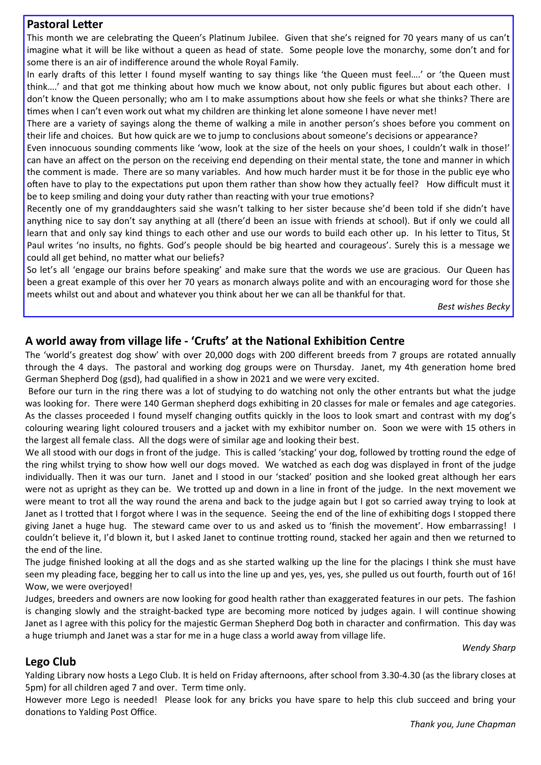#### **Pastoral Letter**

This month we are celebrating the Queen's Platinum Jubilee. Given that she's reigned for 70 years many of us can't imagine what it will be like without a queen as head of state. Some people love the monarchy, some don't and for some there is an air of indifference around the whole Royal Family.

In early drafts of this letter I found myself wanting to say things like 'the Queen must feel....' or 'the Queen must think….' and that got me thinking about how much we know about, not only public figures but about each other. I don't know the Queen personally; who am I to make assumptions about how she feels or what she thinks? There are times when I can't even work out what my children are thinking let alone someone I have never met!

There are a variety of sayings along the theme of walking a mile in another person's shoes before you comment on their life and choices. But how quick are we to jump to conclusions about someone's decisions or appearance?

Even innocuous sounding comments like 'wow, look at the size of the heels on your shoes, I couldn't walk in those!' can have an affect on the person on the receiving end depending on their mental state, the tone and manner in which the comment is made. There are so many variables. And how much harder must it be for those in the public eye who often have to play to the expectations put upon them rather than show how they actually feel? How difficult must it be to keep smiling and doing your duty rather than reacting with your true emotions?

Recently one of my granddaughters said she wasn't talking to her sister because she'd been told if she didn't have anything nice to say don't say anything at all (there'd been an issue with friends at school). But if only we could all learn that and only say kind things to each other and use our words to build each other up. In his letter to Titus, St Paul writes 'no insults, no fights. God's people should be big hearted and courageous'. Surely this is a message we could all get behind, no matter what our beliefs?

So let's all 'engage our brains before speaking' and make sure that the words we use are gracious. Our Queen has been a great example of this over her 70 years as monarch always polite and with an encouraging word for those she meets whilst out and about and whatever you think about her we can all be thankful for that.

*Best wishes Becky*

#### A world away from village life - 'Crufts' at the National Exhibition Centre

The 'world's greatest dog show' with over 20,000 dogs with 200 different breeds from 7 groups are rotated annually through the 4 days. The pastoral and working dog groups were on Thursday. Janet, my 4th generation home bred German Shepherd Dog (gsd), had qualified in a show in 2021 and we were very excited.

 Before our turn in the ring there was a lot of studying to do watching not only the other entrants but what the judge was looking for. There were 140 German shepherd dogs exhibiting in 20 classes for male or females and age categories. As the classes proceeded I found myself changing outfits quickly in the loos to look smart and contrast with my dog's colouring wearing light coloured trousers and a jacket with my exhibitor number on. Soon we were with 15 others in the largest all female class. All the dogs were of similar age and looking their best.

We all stood with our dogs in front of the judge. This is called 'stacking' your dog, followed by trotting round the edge of the ring whilst trying to show how well our dogs moved. We watched as each dog was displayed in front of the judge individually. Then it was our turn. Janet and I stood in our 'stacked' position and she looked great although her ears were not as upright as they can be. We trotted up and down in a line in front of the judge. In the next movement we were meant to trot all the way round the arena and back to the judge again but I got so carried away trying to look at Janet as I trotted that I forgot where I was in the sequence. Seeing the end of the line of exhibiting dogs I stopped there giving Janet a huge hug. The steward came over to us and asked us to 'finish the movement'. How embarrassing! I couldn't believe it, I'd blown it, but I asked Janet to continue trotting round, stacked her again and then we returned to the end of the line.

The judge finished looking at all the dogs and as she started walking up the line for the placings I think she must have seen my pleading face, begging her to call us into the line up and yes, yes, yes, she pulled us out fourth, fourth out of 16! Wow, we were overjoyed!

Judges, breeders and owners are now looking for good health rather than exaggerated features in our pets. The fashion is changing slowly and the straight-backed type are becoming more noticed by judges again. I will continue showing Janet as I agree with this policy for the majestic German Shepherd Dog both in character and confirmation. This day was a huge triumph and Janet was a star for me in a huge class a world away from village life.

*Wendy Sharp* 

#### **Lego Club**

Yalding Library now hosts a Lego Club. It is held on Friday afternoons, after school from 3.30-4.30 (as the library closes at 5pm) for all children aged 7 and over. Term time only.

However more Lego is needed! Please look for any bricks you have spare to help this club succeed and bring your donations to Yalding Post Office.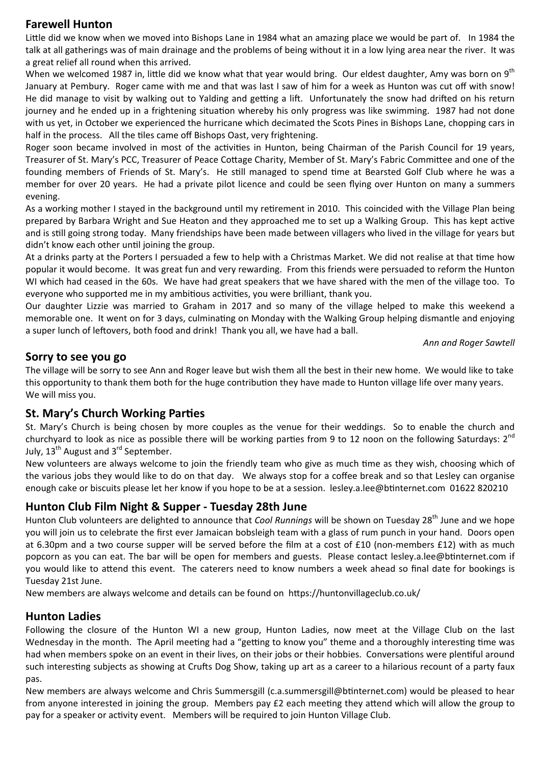#### **Farewell Hunton**

Little did we know when we moved into Bishops Lane in 1984 what an amazing place we would be part of. In 1984 the talk at all gatherings was of main drainage and the problems of being without it in a low lying area near the river. It was a great relief all round when this arrived.

When we welcomed 1987 in, little did we know what that year would bring. Our eldest daughter, Amy was born on  $9<sup>th</sup>$ January at Pembury. Roger came with me and that was last I saw of him for a week as Hunton was cut off with snow! He did manage to visit by walking out to Yalding and getting a lift. Unfortunately the snow had drifted on his return journey and he ended up in a frightening situation whereby his only progress was like swimming. 1987 had not done with us yet, in October we experienced the hurricane which decimated the Scots Pines in Bishops Lane, chopping cars in half in the process. All the tiles came off Bishops Oast, very frightening.

Roger soon became involved in most of the activities in Hunton, being Chairman of the Parish Council for 19 years, Treasurer of St. Mary's PCC, Treasurer of Peace Cottage Charity, Member of St. Mary's Fabric Committee and one of the founding members of Friends of St. Mary's. He still managed to spend time at Bearsted Golf Club where he was a member for over 20 years. He had a private pilot licence and could be seen flying over Hunton on many a summers evening.

As a working mother I stayed in the background until my retirement in 2010. This coincided with the Village Plan being prepared by Barbara Wright and Sue Heaton and they approached me to set up a Walking Group. This has kept active and is still going strong today. Many friendships have been made between villagers who lived in the village for years but didn't know each other until joining the group.

At a drinks party at the Porters I persuaded a few to help with a Christmas Market. We did not realise at that time how popular it would become. It was great fun and very rewarding. From this friends were persuaded to reform the Hunton WI which had ceased in the 60s. We have had great speakers that we have shared with the men of the village too. To everyone who supported me in my ambitious activities, you were brilliant, thank you.

Our daughter Lizzie was married to Graham in 2017 and so many of the village helped to make this weekend a memorable one. It went on for 3 days, culminating on Monday with the Walking Group helping dismantle and enjoying a super lunch of leftovers, both food and drink! Thank you all, we have had a ball.

*Ann and Roger Sawtell* 

#### **Sorry to see you go**

The village will be sorry to see Ann and Roger leave but wish them all the best in their new home. We would like to take this opportunity to thank them both for the huge contribution they have made to Hunton village life over many years. We will miss you.

#### **St. Mary's Church Working Parties**

St. Mary's Church is being chosen by more couples as the venue for their weddings. So to enable the church and churchyard to look as nice as possible there will be working parties from 9 to 12 noon on the following Saturdays:  $2^{nd}$ July,  $13^{th}$  August and  $3^{rd}$  September.

New volunteers are always welcome to join the friendly team who give as much time as they wish, choosing which of the various jobs they would like to do on that day. We always stop for a coffee break and so that Lesley can organise enough cake or biscuits please let her know if you hope to be at a session. lesley.a.lee@btinternet.com 01622 820210

#### **Hunton Club Film Night & Supper - Tuesday 28th June**

Hunton Club volunteers are delighted to announce that *Cool Runnings* will be shown on Tuesday 28<sup>th</sup> June and we hope you will join us to celebrate the first ever Jamaican bobsleigh team with a glass of rum punch in your hand. Doors open at 6.30pm and a two course supper will be served before the film at a cost of £10 (non-members £12) with as much popcorn as you can eat. The bar will be open for members and guests. Please contact lesley.a.lee@btinternet.com if you would like to attend this event. The caterers need to know numbers a week ahead so final date for bookings is Tuesday 21st June.

New members are always welcome and details can be found on https://huntonvillageclub.co.uk/

#### **Hunton Ladies**

Following the closure of the Hunton WI a new group, Hunton Ladies, now meet at the Village Club on the last Wednesday in the month. The April meeting had a "getting to know you" theme and a thoroughly interesting time was had when members spoke on an event in their lives, on their jobs or their hobbies. Conversations were plentiful around such interesting subjects as showing at Crufts Dog Show, taking up art as a career to a hilarious recount of a party faux pas.

New members are always welcome and Chris Summersgill (c.a.summersgill@btinternet.com) would be pleased to hear from anyone interested in joining the group. Members pay £2 each meeting they attend which will allow the group to pay for a speaker or activity event. Members will be required to join Hunton Village Club.